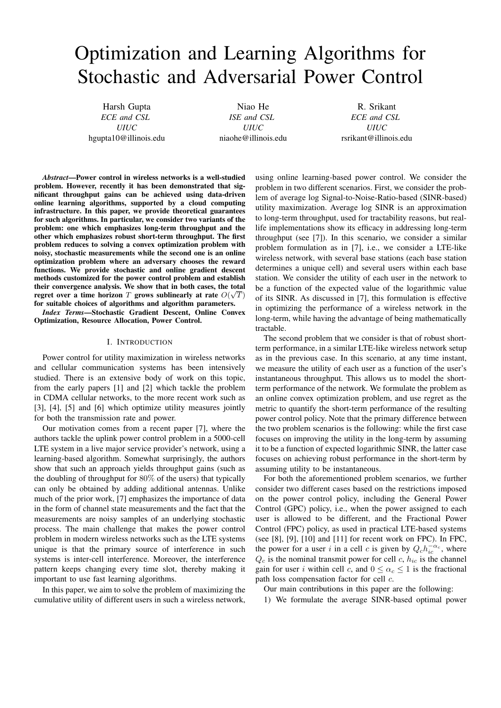# Optimization and Learning Algorithms for Stochastic and Adversarial Power Control

Harsh Gupta *ECE and CSL UIUC* hgupta10@illinois.edu

Niao He *ISE and CSL UIUC* niaohe@illinois.edu

R. Srikant *ECE and CSL UIUC* rsrikant@illinois.edu

*Abstract*—Power control in wireless networks is a well-studied problem. However, recently it has been demonstrated that significant throughput gains can be achieved using data-driven online learning algorithms, supported by a cloud computing infrastructure. In this paper, we provide theoretical guarantees for such algorithms. In particular, we consider two variants of the problem: one which emphasizes long-term throughput and the other which emphasizes robust short-term throughput. The first problem reduces to solving a convex optimization problem with noisy, stochastic measurements while the second one is an online optimization problem where an adversary chooses the reward functions. We provide stochastic and online gradient descent methods customized for the power control problem and establish their convergence analysis. We show that in both cases, the total regret over a time horizon  $T$  grows sublinearly at rate  $O(\sqrt{T})$ for suitable choices of algorithms and algorithm parameters.

*Index Terms*—Stochastic Gradient Descent, Online Convex Optimization, Resource Allocation, Power Control.

#### I. INTRODUCTION

Power control for utility maximization in wireless networks and cellular communication systems has been intensively studied. There is an extensive body of work on this topic, from the early papers [1] and [2] which tackle the problem in CDMA cellular networks, to the more recent work such as [3], [4], [5] and [6] which optimize utility measures jointly for both the transmission rate and power.

Our motivation comes from a recent paper [7], where the authors tackle the uplink power control problem in a 5000-cell LTE system in a live major service provider's network, using a learning-based algorithm. Somewhat surprisingly, the authors show that such an approach yields throughput gains (such as the doubling of throughput for 80% of the users) that typically can only be obtained by adding additional antennas. Unlike much of the prior work, [7] emphasizes the importance of data in the form of channel state measurements and the fact that the measurements are noisy samples of an underlying stochastic process. The main challenge that makes the power control problem in modern wireless networks such as the LTE systems unique is that the primary source of interference in such systems is inter-cell interference. Moreover, the interference pattern keeps changing every time slot, thereby making it important to use fast learning algorithms.

In this paper, we aim to solve the problem of maximizing the cumulative utility of different users in such a wireless network, using online learning-based power control. We consider the problem in two different scenarios. First, we consider the problem of average log Signal-to-Noise-Ratio-based (SINR-based) utility maximization. Average log SINR is an approximation to long-term throughput, used for tractability reasons, but reallife implementations show its efficacy in addressing long-term throughput (see [7]). In this scenario, we consider a similar problem formulation as in [7], i.e., we consider a LTE-like wireless network, with several base stations (each base station determines a unique cell) and several users within each base station. We consider the utility of each user in the network to be a function of the expected value of the logarithmic value of its SINR. As discussed in [7], this formulation is effective in optimizing the performance of a wireless network in the long-term, while having the advantage of being mathematically tractable.

The second problem that we consider is that of robust shortterm performance, in a similar LTE-like wireless network setup as in the previous case. In this scenario, at any time instant, we measure the utility of each user as a function of the user's instantaneous throughput. This allows us to model the shortterm performance of the network. We formulate the problem as an online convex optimization problem, and use regret as the metric to quantify the short-term performance of the resulting power control policy. Note that the primary difference between the two problem scenarios is the following: while the first case focuses on improving the utility in the long-term by assuming it to be a function of expected logarithmic SINR, the latter case focuses on achieving robust performance in the short-term by assuming utility to be instantaneous.

For both the aforementioned problem scenarios, we further consider two different cases based on the restrictions imposed on the power control policy, including the General Power Control (GPC) policy, i.e., when the power assigned to each user is allowed to be different, and the Fractional Power Control (FPC) policy, as used in practical LTE-based systems (see [8], [9], [10] and [11] for recent work on FPC). In FPC, the power for a user i in a cell c is given by  $Q_c h_{ic}^{-\alpha_c}$ , where  $Q_c$  is the nominal transmit power for cell c,  $h_{ic}$  is the channel gain for user i within cell c, and  $0 \leq \alpha_c \leq 1$  is the fractional path loss compensation factor for cell c.

Our main contributions in this paper are the following:

1) We formulate the average SINR-based optimal power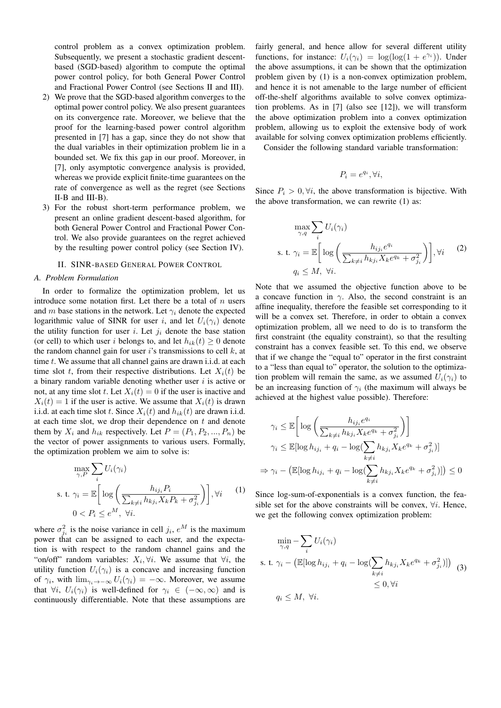control problem as a convex optimization problem. Subsequently, we present a stochastic gradient descentbased (SGD-based) algorithm to compute the optimal power control policy, for both General Power Control and Fractional Power Control (see Sections II and III).

- 2) We prove that the SGD-based algorithm converges to the optimal power control policy. We also present guarantees on its convergence rate. Moreover, we believe that the proof for the learning-based power control algorithm presented in [7] has a gap, since they do not show that the dual variables in their optimization problem lie in a bounded set. We fix this gap in our proof. Moreover, in [7], only asymptotic convergence analysis is provided, whereas we provide explicit finite-time guarantees on the rate of convergence as well as the regret (see Sections II-B and III-B).
- 3) For the robust short-term performance problem, we present an online gradient descent-based algorithm, for both General Power Control and Fractional Power Control. We also provide guarantees on the regret achieved by the resulting power control policy (see Section IV).

## II. SINR-BASED GENERAL POWER CONTROL

#### *A. Problem Formulation*

In order to formalize the optimization problem, let us introduce some notation first. Let there be a total of  $n$  users and m base stations in the network. Let  $\gamma_i$  denote the expected logarithmic value of SINR for user i, and let  $U_i(\gamma_i)$  denote the utility function for user i. Let  $j_i$  denote the base station (or cell) to which user i belongs to, and let  $h_{ik}(t) \geq 0$  denote the random channel gain for user i's transmissions to cell  $k$ , at time  $t$ . We assume that all channel gains are drawn i.i.d. at each time slot t, from their respective distributions. Let  $X_i(t)$  be a binary random variable denoting whether user  $i$  is active or not, at any time slot t. Let  $X_i(t) = 0$  if the user is inactive and  $X_i(t) = 1$  if the user is active. We assume that  $X_i(t)$  is drawn i.i.d. at each time slot t. Since  $X_i(t)$  and  $h_{ik}(t)$  are drawn i.i.d. at each time slot, we drop their dependence on  $t$  and denote them by  $X_i$  and  $h_{ik}$  respectively. Let  $P = (P_1, P_2, ..., P_n)$  be the vector of power assignments to various users. Formally, the optimization problem we aim to solve is:

$$
\max_{\gamma, P} \sum_{i} U_i(\gamma_i)
$$
\ns. t. 
$$
\gamma_i = \mathbb{E} \bigg[ \log \bigg( \frac{h_{ij_i} P_i}{\sum_{k \neq i} h_{kj_i} X_k P_k + \sigma_{j_i}^2} \bigg) \bigg], \forall i \qquad (1)
$$
\n
$$
0 < P_i \leq e^M, \forall i.
$$

where  $\sigma_{j_i}^2$  is the noise variance in cell  $j_i$ ,  $e^M$  is the maximum power that can be assigned to each user, and the expectation is with respect to the random channel gains and the "on/off" random variables:  $X_i, \forall i$ . We assume that  $\forall i$ , the utility function  $U_i(\gamma_i)$  is a concave and increasing function of  $\gamma_i$ , with  $\lim_{\gamma_i \to -\infty} U_i(\gamma_i) = -\infty$ . Moreover, we assume that  $\forall i, U_i(\gamma_i)$  is well-defined for  $\gamma_i \in (-\infty, \infty)$  and is continuously differentiable. Note that these assumptions are

fairly general, and hence allow for several different utility functions, for instance:  $U_i(\gamma_i) = \log(\log(1 + e^{\gamma_i}))$ . Under the above assumptions, it can be shown that the optimization problem given by (1) is a non-convex optimization problem, and hence it is not amenable to the large number of efficient off-the-shelf algorithms available to solve convex optimization problems. As in [7] (also see [12]), we will transform the above optimization problem into a convex optimization problem, allowing us to exploit the extensive body of work available for solving convex optimization problems efficiently.

Consider the following standard variable transformation:

$$
P_i = e^{q_i}, \forall i,
$$

Since  $P_i > 0$ ,  $\forall i$ , the above transformation is bijective. With the above transformation, we can rewrite (1) as:

$$
\max_{\gamma,q} \sum_{i} U_i(\gamma_i)
$$
\ns. t. 
$$
\gamma_i = \mathbb{E} \bigg[ \log \bigg( \frac{h_{ij_i} e^{q_i}}{\sum_{k \neq i} h_{kj_i} X_k e^{q_k} + \sigma_{ji}^2} \bigg) \bigg], \forall i \qquad (2)
$$
\n
$$
q_i \leq M, \forall i.
$$

Note that we assumed the objective function above to be a concave function in  $\gamma$ . Also, the second constraint is an affine inequality, therefore the feasible set corresponding to it will be a convex set. Therefore, in order to obtain a convex optimization problem, all we need to do is to transform the first constraint (the equality constraint), so that the resulting constraint has a convex feasible set. To this end, we observe that if we change the "equal to" operator in the first constraint to a "less than equal to" operator, the solution to the optimization problem will remain the same, as we assumed  $U_i(\gamma_i)$  to be an increasing function of  $\gamma_i$  (the maximum will always be achieved at the highest value possible). Therefore:

$$
\gamma_i \leq \mathbb{E} \bigg[ \log \bigg( \frac{h_{ij_i} e^{q_i}}{\sum_{k \neq i} h_{kj_i} X_k e^{q_k} + \sigma_{j_i}^2} \bigg) \bigg]
$$
  

$$
\gamma_i \leq \mathbb{E} [\log h_{ij_i} + q_i - \log (\sum_{k \neq i} h_{kj_i} X_k e^{q_k} + \sigma_{j_i}^2)]
$$
  

$$
\Rightarrow \gamma_i - \big( \mathbb{E} [\log h_{ij_i} + q_i - \log (\sum_{k \neq i} h_{kj_i} X_k e^{q_k} + \sigma_{j_i}^2)] \big) \leq 0
$$

Since log-sum-of-exponentials is a convex function, the feasible set for the above constraints will be convex,  $\forall i$ . Hence, we get the following convex optimization problem:

$$
\min_{\gamma,q} -\sum_{i} U_i(\gamma_i)
$$
\ns. t.  $\gamma_i - (\mathbb{E}[\log h_{ij_i} + q_i - \log(\sum_{k \neq i} h_{kj_i} X_k e^{q_k} + \sigma_{ji}^2)])$  (3)  
\n
$$
\leq 0, \forall i
$$
\n
$$
q_i \leq M, \forall i.
$$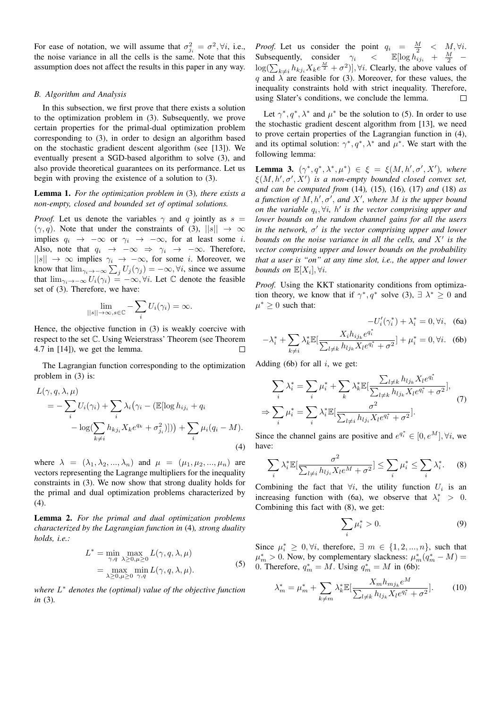For ease of notation, we will assume that  $\sigma_{j_i}^2 = \sigma^2$ ,  $\forall i$ , i.e., the noise variance in all the cells is the same. Note that this assumption does not affect the results in this paper in any way.

### *B. Algorithm and Analysis*

In this subsection, we first prove that there exists a solution to the optimization problem in (3). Subsequently, we prove certain properties for the primal-dual optimization problem corresponding to (3), in order to design an algorithm based on the stochastic gradient descent algorithm (see [13]). We eventually present a SGD-based algorithm to solve (3), and also provide theoretical guarantees on its performance. Let us begin with proving the existence of a solution to (3).

## Lemma 1. *For the optimization problem in* (3)*, there exists a non-empty, closed and bounded set of optimal solutions.*

*Proof.* Let us denote the variables  $\gamma$  and q jointly as  $s =$  $(\gamma, q)$ . Note that under the constraints of (3),  $||s|| \rightarrow \infty$ implies  $q_i \rightarrow -\infty$  or  $\gamma_i \rightarrow -\infty$ , for at least some i. Also, note that  $q_i \rightarrow -\infty \Rightarrow \gamma_i \rightarrow -\infty$ . Therefore,  $||s||$  → ∞ implies  $\gamma_i$  → −∞, for some *i*. Moreover, we know that  $\lim_{\gamma_i \to -\infty} \sum_j U_j(\gamma_j) = -\infty$ ,  $\forall i$ , since we assume that  $\lim_{\gamma_i \to -\infty} U_i(\gamma_i) = -\infty$ ,  $\forall i$ . Let  $\mathbb C$  denote the feasible set of (3). Therefore, we have:

$$
\lim_{||s|| \to \infty, s \in \mathbb{C}} - \sum_{i} U_i(\gamma_i) = \infty.
$$

Hence, the objective function in (3) is weakly coercive with respect to the set C. Using Weierstrass' Theorem (see Theorem 4.7 in [14]), we get the lemma.  $\Box$ 

The Lagrangian function corresponding to the optimization problem in (3) is:

$$
L(\gamma, q, \lambda, \mu)
$$
  
= 
$$
-\sum_{i} U_i(\gamma_i) + \sum_{i} \lambda_i (\gamma_i - (\mathbb{E}[\log h_{ij_i} + q_i
$$

$$
-\log(\sum_{k \neq i} h_{kj_i} X_k e^{q_k} + \sigma_{ji}^2)])) + \sum_{i} \mu_i (q_i - M).
$$
  
(4)

where  $\lambda = (\lambda_1, \lambda_2, ..., \lambda_n)$  and  $\mu = (\mu_1, \mu_2, ..., \mu_n)$  are vectors representing the Lagrange multipliers for the inequality constraints in (3). We now show that strong duality holds for the primal and dual optimization problems characterized by  $(4)$ .

Lemma 2. *For the primal and dual optimization problems characterized by the Lagrangian function in* (4)*, strong duality holds, i.e.:*

$$
L^* = \min_{\gamma, q} \max_{\lambda \ge 0, \mu \ge 0} L(\gamma, q, \lambda, \mu)
$$
  
= 
$$
\max_{\lambda \ge 0, \mu \ge 0} \min_{\gamma, q} L(\gamma, q, \lambda, \mu).
$$
 (5)

*where* L <sup>∗</sup> *denotes the (optimal) value of the objective function in* (3)*.*

*Proof.* Let us consider the point  $q_i = \frac{M}{2} < M$ ,  $\forall i$ . Subsequently, consider  $\gamma_i$  <  $\mathbb{E}[\log h_{ij_i} + \frac{M}{2} \log(\sum_{k \neq i} h_{kj_i} X_k e^{\frac{M}{2}} + \sigma^2)$ ,  $\forall i$ . Clearly, the above values of q and  $\lambda$  are feasible for (3). Moreover, for these values, the inequality constraints hold with strict inequality. Therefore, using Slater's conditions, we conclude the lemma.  $\Box$ 

Let  $\gamma^*, q^*, \lambda^*$  and  $\mu^*$  be the solution to (5). In order to use the stochastic gradient descent algorithm from [13], we need to prove certain properties of the Lagrangian function in (4), and its optimal solution:  $\gamma^*, q^*, \lambda^*$  and  $\mu^*$ . We start with the following lemma:

**Lemma 3.**  $(\gamma^*, q^*, \lambda^*, \mu^*) \in \xi = \xi(M, h', \sigma', X')$ , where  $\xi(M, h', \sigma', X')$  is a non-empty bounded closed convex set, *and can be computed from* (14)*,* (15)*,* (16)*,* (17) *and* (18) *as*  $a$  function of  $M, h', \sigma'$ , and  $X'$ , where  $M$  is the upper bound *on the variable*  $q_i$ ,  $\forall i$ *, h' is the vector comprising upper and lower bounds on the random channel gains for all the users*  $\int$ *in the network,*  $\sigma'$  *is the vector comprising upper and lower* bounds on the noise variance in all the cells, and  $X'$  is the *vector comprising upper and lower bounds on the probability that a user is "on" at any time slot, i.e., the upper and lower bounds on*  $\mathbb{E}[X_i], \forall i$ .

*Proof.* Using the KKT stationarity conditions from optimization theory, we know that if  $\gamma^*, q^*$  solve (3),  $\exists \lambda^* \geq 0$  and  $\mu^* \geq 0$  such that:

$$
-U_i'(\gamma_i^*) + \lambda_i^* = 0, \forall i, \quad \text{(6a)}
$$

$$
-\lambda_i^* + \sum_{k \neq i} \lambda_k^* \mathbb{E}[\frac{X_i h_{ij_k} e^{q_i^*}}{\sum_{l \neq k} h_{lj_k} X_l e^{q_l^*} + \sigma^2}] + \mu_i^* = 0, \forall i. \quad (6b)
$$

Adding (6b) for all  $i$ , we get:

$$
\sum_{i} \lambda_{i}^{*} = \sum_{i} \mu_{i}^{*} + \sum_{k} \lambda_{k}^{*} \mathbb{E}[\frac{\sum_{l \neq k} h_{lj_{k}} X_{l} e^{q_{l}^{*}}}{\sum_{l \neq k} h_{lj_{k}} X_{l} e^{q_{l}^{*}} + \sigma^{2}}],
$$
  
\n
$$
\Rightarrow \sum_{i} \mu_{i}^{*} = \sum_{i} \lambda_{i}^{*} \mathbb{E}[\frac{\sigma^{2}}{\sum_{l \neq i} h_{lj_{i}} X_{l} e^{q_{l}^{*}} + \sigma^{2}}].
$$
 (7)

Since the channel gains are positive and  $e^{q_i^*} \in [0, e^M]$ ,  $\forall i$ , we have:

$$
\sum_{i} \lambda_i^* \mathbb{E}[\frac{\sigma^2}{\sum_{l \neq i} h_{lji} X_l e^M + \sigma^2}] \le \sum_{i} \mu_i^* \le \sum_{i} \lambda_i^*.
$$
 (8)

Combining the fact that  $\forall i$ , the utility function  $U_i$  is an increasing function with (6a), we observe that  $\lambda_i^* > 0$ . Combining this fact with (8), we get:

$$
\sum_{i} \mu_i^* > 0. \tag{9}
$$

Since  $\mu_i^* \geq 0, \forall i$ , therefore,  $\exists m \in \{1, 2, ..., n\}$ , such that  $\mu_m^* > 0$ . Now, by complementary slackness:  $\mu_m^*(q_m^* - M) =$ 0. Therefore,  $q_m^* = M$ . Using  $q_m^* = M$  in (6b):

$$
\lambda_m^* = \mu_m^* + \sum_{k \neq m} \lambda_k^* \mathbb{E}[\frac{X_m h_{m j_k} e^M}{\sum_{l \neq k} h_{l j_k} X_l e^{q_l^*} + \sigma^2}].
$$
 (10)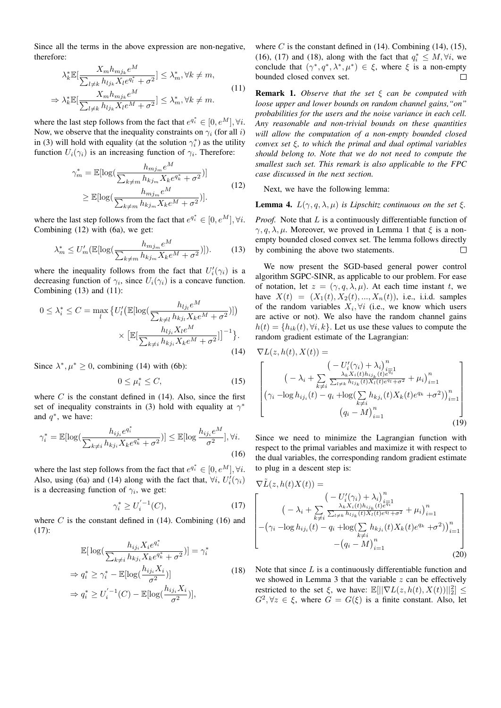Since all the terms in the above expression are non-negative, therefore:

$$
\lambda_k^* \mathbb{E}[\frac{X_m h_{mjk} e^M}{\sum_{l \neq k} h_{ljk} X_l e^{q_l^*} + \sigma^2}] \leq \lambda_m^*, \forall k \neq m,
$$
  
\n
$$
\Rightarrow \lambda_k^* \mathbb{E}[\frac{X_m h_{mjk} e^M}{\sum_{l \neq k} h_{ljk} X_l e^M + \sigma^2}] \leq \lambda_m^*, \forall k \neq m.
$$
\n(11)

where the last step follows from the fact that  $e^{q_i^*} \in [0, e^M]$ ,  $\forall i$ . Now, we observe that the inequality constraints on  $\gamma_i$  (for all i) in (3) will hold with equality (at the solution  $\gamma_i^*$ ) as the utility function  $U_i(\gamma_i)$  is an increasing function of  $\gamma_i$ . Therefore:

$$
\gamma_m^* = \mathbb{E}[\log(\frac{h_{mj_m}e^M}{\sum_{k \neq m} h_{kj_m} X_k e^{q_k^*} + \sigma^2})]
$$
  
\n
$$
\geq \mathbb{E}[\log(\frac{h_{mj_m}e^M}{\sum_{k \neq m} h_{kj_m} X_k e^M + \sigma^2})].
$$
\n(12)

where the last step follows from the fact that  $e^{q_i^*} \in [0, e^M]$ ,  $\forall i$ . Combining (12) with (6a), we get:

$$
\lambda_m^* \le U_m'(\mathbb{E}[\log(\frac{h_{mj_m}e^M}{\sum_{k \neq m} h_{kj_m} X_k e^M + \sigma^2})]). \tag{13}
$$

where the inequality follows from the fact that  $U_i'(\gamma_i)$  is a decreasing function of  $\gamma_i$ , since  $U_i(\gamma_i)$  is a concave function. Combining (13) and (11):

$$
0 \leq \lambda_i^* \leq C = \max_{l} \left\{ U'_l \left( \mathbb{E}[\log(\frac{h_{lj}e^M}{\sum_{k \neq l} h_{kj_l} X_k e^M + \sigma^2})] \right) \times \left[ \mathbb{E}[\frac{h_{lj} X_l e^M}{\sum_{k \neq i} h_{kj_i} X_k e^M + \sigma^2}] \right]^{-1} \right\}.
$$
\n(14)

Since  $\lambda^*, \mu^* \geq 0$ , combining (14) with (6b):

$$
0 \le \mu_i^* \le C,\tag{15}
$$

where  $C$  is the constant defined in (14). Also, since the first set of inequality constraints in (3) hold with equality at  $\gamma^*$ and  $q^*$ , we have:

$$
\gamma_i^* = \mathbb{E}[\log(\frac{h_{ij_i}e^{q_i^*}}{\sum_{k \neq i} h_{kj_i} X_k e^{q_k^*} + \sigma^2})] \leq \mathbb{E}[\log \frac{h_{ij_i}e^M}{\sigma^2}], \forall i.
$$
\n(16)

where the last step follows from the fact that  $e^{q_i^*} \in [0, e^M]$ ,  $\forall i$ . Also, using (6a) and (14) along with the fact that,  $\forall i, U'_i(\gamma_i)$ is a decreasing function of  $\gamma_i$ , we get:

$$
\gamma_i^* \ge U_i^{'-1}(C),\tag{17}
$$

where  $C$  is the constant defined in (14). Combining (16) and (17):

$$
\mathbb{E}[\log(\frac{h_{ij_i}X_ie^{q_i^*}}{\sum_{k\neq i}h_{kj_i}X_ke^{q_k^*}+\sigma^2})] = \gamma_i^*
$$
  
\n
$$
\Rightarrow q_i^* \ge \gamma_i^* - \mathbb{E}[\log(\frac{h_{ij_i}X_i}{\sigma^2})]
$$
  
\n
$$
\Rightarrow q_i^* \ge U_i^{'-1}(C) - \mathbb{E}[\log(\frac{h_{ij_i}X_i}{\sigma^2})],
$$
\n(18)

where C is the constant defined in  $(14)$ . Combining  $(14)$ ,  $(15)$ , (16), (17) and (18), along with the fact that  $q_i^* \leq M, \forall i$ , we conclude that  $(\gamma^*, q^*, \lambda^*, \mu^*) \in \xi$ , where  $\xi$  is a non-empty bounded closed convex set.  $\Box$ 

Remark 1. *Observe that the set* ξ *can be computed with loose upper and lower bounds on random channel gains,"on" probabilities for the users and the noise variance in each cell. Any reasonable and non-trivial bounds on these quantities will allow the computation of a non-empty bounded closed convex set* ξ*, to which the primal and dual optimal variables should belong to. Note that we do not need to compute the smallest such set. This remark is also applicable to the FPC case discussed in the next section.*

Next, we have the following lemma:

**Lemma 4.**  $L(\gamma, q, \lambda, \mu)$  *is Lipschitz continuous on the set*  $\xi$ *.* 

*Proof.* Note that L is a continuously differentiable function of  $\gamma, q, \lambda, \mu$ . Moreover, we proved in Lemma 1 that  $\xi$  is a nonempty bounded closed convex set. The lemma follows directly by combining the above two statements.  $\Box$ 

We now present the SGD-based general power control algorithm SGPC-SINR, as applicable to our problem. For ease of notation, let  $z = (\gamma, q, \lambda, \mu)$ . At each time instant t, we have  $X(t) = (X_1(t), X_2(t), ..., X_n(t))$ , i.e., i.i.d. samples of the random variables  $X_i, \forall i$  (i.e., we know which users are active or not). We also have the random channel gains  $h(t) = \{h_{ik}(t), \forall i, k\}$ . Let us use these values to compute the random gradient estimate of the Lagrangian:

$$
\nabla L(z, h(t), X(t)) =\n\begin{bmatrix}\n(-U_i'(\gamma_i) + \lambda_i)_{i=1}^n \\
(-\lambda_i + \sum_{k \neq i} \frac{\lambda_k X_i(t) h_{i j_k}(t) e^{i \overline{q}_1}1}{\sum_{l \neq k} h_{l j_k}(t) X_l(t) e^{q_l} + \sigma^2} + \mu_i)_{i=1}^n \\
(\gamma_i - \log h_{i j_i}(t) - q_i + \log(\sum_{k \neq i} h_{k j_i}(t) X_k(t) e^{q_k} + \sigma^2))_{i=1}^n \\
(q_i - M)_{i=1}^n\n\end{bmatrix}
$$
\n(19)

Since we need to minimize the Lagrangian function with respect to the primal variables and maximize it with respect to the dual variables, the corresponding random gradient estimate to plug in a descent step is:

$$
\nabla \tilde{L}(z, h(t)X(t)) =
$$
\n
$$
\begin{bmatrix}\n(-U_i'(\gamma_i) + \lambda_i)_{i=1}^n \\
(-\lambda_i + \sum_{k \neq i} \frac{\lambda_k X_i(t) h_{ij_k}(t) e^{i\pi_i}}{\sum_{l \neq k} h_{lj_k}(t) X_l(t) e^{i\pi_i} + \sigma^2} + \mu_i)_{i=1}^n \\
-(\gamma_i - \log h_{ij_i}(t) - q_i + \log(\sum_{k \neq i} h_{kj_i}(t) X_k(t) e^{i\pi_i} + \sigma^2))_{i=1}^n \\
-(q_i - M)_{i=1}^n\n\end{bmatrix}
$$
\n(20)

Note that since  $L$  is a continuously differentiable function and we showed in Lemma 3 that the variable  $z$  can be effectively restricted to the set  $\xi$ , we have:  $\mathbb{E}[||\nabla L(z, h(t), X(t))||_2^2] \leq$  $G^2, \forall z \in \xi$ , where  $G = G(\xi)$  is a finite constant. Also, let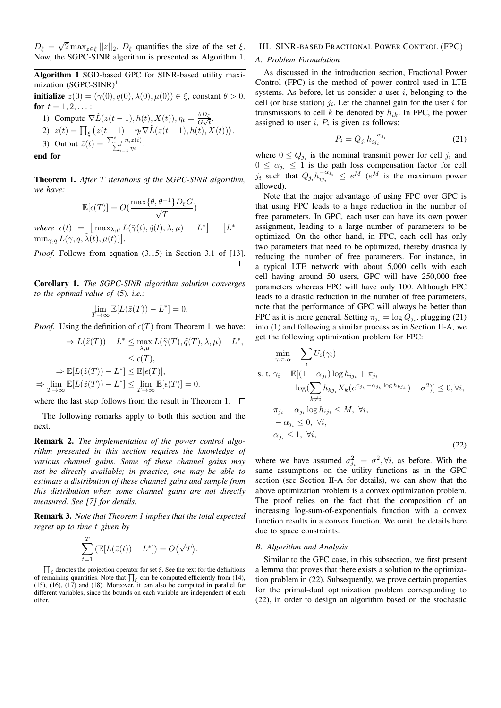$D_{\xi} =$ √  $2 \max_{z \in \xi} ||z||_2$ .  $D_{\xi}$  quantifies the size of the set  $\xi$ . Now, the SGPC-SINR algorithm is presented as Algorithm 1.

## Algorithm 1 SGD-based GPC for SINR-based utility maximization (SGPC-SINR)<sup>1</sup>

initialize  $z(0) = (\gamma(0), q(0), \lambda(0), \mu(0)) \in \xi$ , constant  $\theta > 0$ . for  $t = 1, 2, ...$ : 1) Compute  $\nabla \tilde{L}(z(t-1), h(t), X(t)), \eta_t = \frac{\theta D_{\xi}}{G}$  $\frac{\sigma D_{\xi}}{G\sqrt{t}}$ . 2)  $z(t) = \prod_{\xi} (z(t-1) - \eta_t \nabla \tilde{L}(z(t-1), h(t), X(t))).$ 3) Output  $\tilde{z}(t) = \frac{\sum_{i=1}^{t} z_i}{\sum_{i=1}^{t} z_i}$  $\frac{\sum\limits_{i=1}^{n} \eta_i z(i)}{i}$ .

end for

Theorem 1. *After* T *iterations of the SGPC-SINR algorithm, we have:*

$$
\mathbb{E}[\epsilon(T)] = O(\frac{\max\{\theta, \theta^{-1}\} D_{\xi} G}{\sqrt{T}})
$$

*where*  $\epsilon(t) = \left[ \max_{\lambda,\mu} L(\tilde{\gamma}(t), \tilde{q}(t), \lambda, \mu) - L^* \right] + \left[ L^* - L^* \right]$  $\min_{\gamma,q} L(\gamma,q,\tilde{\lambda(t)},\tilde{\mu}(t)) \big].$ 

*Proof.* Follows from equation (3.15) in Section 3.1 of [13]. П

Corollary 1. *The SGPC-SINR algorithm solution converges to the optimal value of* (5)*, i.e.:*

$$
\lim_{T \to \infty} \mathbb{E}[L(\tilde{z}(T)) - L^*] = 0.
$$

*Proof.* Using the definition of  $\epsilon(T)$  from Theorem 1, we have:

$$
\Rightarrow L(\tilde{z}(T)) - L^* \le \max_{\lambda,\mu} L(\tilde{\gamma}(T), \tilde{q}(T), \lambda, \mu) - L^* \le \epsilon(T),
$$
  

$$
\le \epsilon(T),
$$
  

$$
\Rightarrow \mathbb{E}[L(\tilde{z}(T)) - L^*] \le \mathbb{E}[\epsilon(T)],
$$
  

$$
\Rightarrow \lim_{T \to \infty} \mathbb{E}[L(\tilde{z}(T)) - L^*] \le \lim_{T \to \infty} \mathbb{E}[\epsilon(T)] = 0.
$$

where the last step follows from the result in Theorem 1.  $\Box$ 

The following remarks apply to both this section and the next.

Remark 2. *The implementation of the power control algorithm presented in this section requires the knowledge of various channel gains. Some of these channel gains may not be directly available; in practice, one may be able to estimate a distribution of these channel gains and sample from this distribution when some channel gains are not directly measured. See [7] for details.*

Remark 3. *Note that Theorem 1 implies that the total expected regret up to time* t *given by*

$$
\sum_{t=1}^T \left( \mathbb{E}[L(\tilde{z}(t)) - L^*] \right) = O(\sqrt{T}).
$$

 ${}^{1}\prod_{\xi}$  denotes the projection operator for set  $\xi$ . See the text for the definitions of remaining quantities. Note that  $\prod_{\xi}$  can be computed efficiently from (14), (15), (16), (17) and (18). Moreover, it can also be computed in parallel for different variables, since the bounds on each variable are independent of each other.

## III. SINR-BASED FRACTIONAL POWER CONTROL (FPC)

## *A. Problem Formulation*

As discussed in the introduction section, Fractional Power Control (FPC) is the method of power control used in LTE systems. As before, let us consider a user  $i$ , belonging to the cell (or base station)  $j_i$ . Let the channel gain for the user i for transmissions to cell k be denoted by  $h_{ik}$ . In FPC, the power assigned to user  $i$ ,  $P_i$  is given as follows:

$$
P_i = Q_{j_i} h_{ij_i}^{-\alpha_{j_i}} \tag{21}
$$

where  $0 \leq Q_{j_i}$  is the nominal transmit power for cell  $j_i$  and  $0 \leq \alpha_{j_i} \leq 1$  is the path loss compensation factor for cell  $j_i$  such that  $Q_{j_i} h_{ij_i}^{-\alpha_{j_i}} \le e^M$  ( $e^M$  is the maximum power allowed).

Note that the major advantage of using FPC over GPC is that using FPC leads to a huge reduction in the number of free parameters. In GPC, each user can have its own power assignment, leading to a large number of parameters to be optimized. On the other hand, in FPC, each cell has only two parameters that need to be optimized, thereby drastically reducing the number of free parameters. For instance, in a typical LTE network with about 5,000 cells with each cell having around 50 users, GPC will have 250,000 free parameters whereas FPC will have only 100. Although FPC leads to a drastic reduction in the number of free parameters, note that the performance of GPC will always be better than FPC as it is more general. Setting  $\pi_{j_i} = \log Q_{j_i}$ , plugging (21) into (1) and following a similar process as in Section II-A, we get the following optimization problem for FPC:

$$
\min_{\gamma,\pi,\alpha} -\sum_{i} U_i(\gamma_i)
$$
\ns. t.  $\gamma_i - \mathbb{E}[(1-\alpha_{j_i})\log h_{ij_i} + \pi_{j_i} - \log(\sum_{k\neq i} h_{kj_i} X_k(e^{\pi_{j_k}-\alpha_{j_k}\log h_{kj_k}}) + \sigma^2)] \leq 0, \forall i,$   
\n $\pi_{j_i} - \alpha_{j_i}\log h_{ij_i} \leq M, \forall i,$   
\n $-\alpha_{j_i} \leq 0, \forall i,$   
\n $\alpha_{j_i} \leq 1, \forall i,$  (22)

where we have assumed  $\sigma_{j_i}^2 = \sigma^2, \forall i$ , as before. With the same assumptions on the utility functions as in the GPC section (see Section II-A for details), we can show that the above optimization problem is a convex optimization problem. The proof relies on the fact that the composition of an increasing log-sum-of-exponentials function with a convex function results in a convex function. We omit the details here due to space constraints.

## *B. Algorithm and Analysis*

,

Similar to the GPC case, in this subsection, we first present a lemma that proves that there exists a solution to the optimization problem in (22). Subsequently, we prove certain properties for the primal-dual optimization problem corresponding to (22), in order to design an algorithm based on the stochastic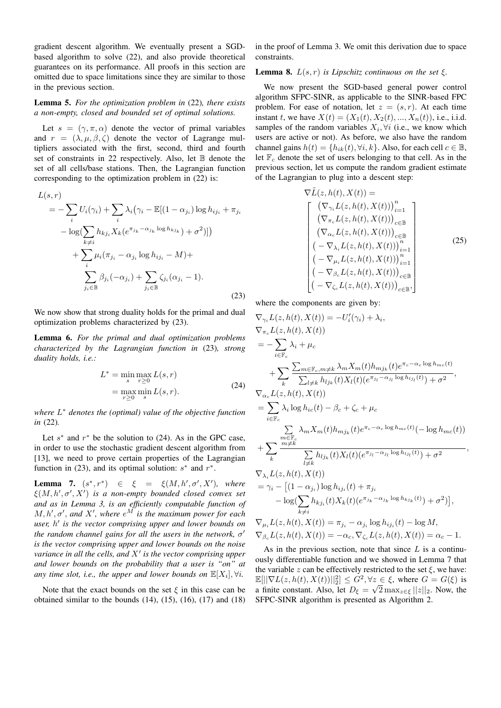gradient descent algorithm. We eventually present a SGDbased algorithm to solve (22), and also provide theoretical guarantees on its performance. All proofs in this section are omitted due to space limitations since they are similar to those in the previous section.

## Lemma 5. *For the optimization problem in* (22)*, there exists a non-empty, closed and bounded set of optimal solutions.*

Let  $s = (\gamma, \pi, \alpha)$  denote the vector of primal variables and  $r = (\lambda, \mu, \beta, \zeta)$  denote the vector of Lagrange multipliers associated with the first, second, third and fourth set of constraints in 22 respectively. Also, let  $\mathbb B$  denote the set of all cells/base stations. Then, the Lagrangian function corresponding to the optimization problem in (22) is:

$$
L(s,r)
$$
  
=  $-\sum_{i} U_i(\gamma_i) + \sum_{i} \lambda_i (\gamma_i - \mathbb{E}[(1 - \alpha_{j_i}) \log h_{ij_i} + \pi_{j_i} -\log(\sum_{k \neq i} h_{kj_i} X_k(e^{\pi_{j_k} - \alpha_{j_k} \log h_{kj_k}}) + \sigma^2)])$   
+  $\sum_{i} \mu_i (\pi_{j_i} - \alpha_{j_i} \log h_{ij_i} - M) + \sum_{j_i \in \mathbb{B}} \beta_{j_i} (-\alpha_{j_i}) + \sum_{j_i \in \mathbb{B}} \zeta_{j_i} (\alpha_{j_i} - 1).$  (23)

We now show that strong duality holds for the primal and dual optimization problems characterized by (23).

Lemma 6. *For the primal and dual optimization problems characterized by the Lagrangian function in* (23)*, strong duality holds, i.e.:*

$$
L^* = \min_{s} \max_{r \ge 0} L(s, r)
$$
  
= 
$$
\max_{r \ge 0} \min_{s} L(s, r).
$$
 (24)

*where* L <sup>∗</sup> *denotes the (optimal) value of the objective function in* (22)*.*

Let  $s^*$  and  $r^*$  be the solution to (24). As in the GPC case, in order to use the stochastic gradient descent algorithm from [13], we need to prove certain properties of the Lagrangian function in (23), and its optimal solution:  $s^*$  and  $r^*$ .

**Lemma 7.**  $(s^*, r^*) \in \xi = \xi(M, h', \sigma', X')$ , where  $\xi(M, h', \sigma', X')$  is a non-empty bounded closed convex set *and as in Lemma 3, is an efficiently computable function of*  $M, h', \sigma'$ , and  $X'$ , where  $e^M$  is the maximum power for each *user,* h 0 *is the vector comprising upper and lower bounds on the random channel gains for all the users in the network, σ<sup>1</sup> is the vector comprising upper and lower bounds on the noise* variance in all the cells, and  $X'$  is the vector comprising upper *and lower bounds on the probability that a user is "on" at* any time slot, i.e., the upper and lower bounds on  $\mathbb{E}[X_i], \forall i$ .

Note that the exact bounds on the set  $\xi$  in this case can be obtained similar to the bounds  $(14)$ ,  $(15)$ ,  $(16)$ ,  $(17)$  and  $(18)$  in the proof of Lemma 3. We omit this derivation due to space constraints.

## **Lemma 8.**  $L(s, r)$  *is Lipschitz continuous on the set*  $\xi$ *.*

We now present the SGD-based general power control algorithm SFPC-SINR, as applicable to the SINR-based FPC problem. For ease of notation, let  $z = (s, r)$ . At each time instant t, we have  $X(t) = (X_1(t), X_2(t), ..., X_n(t))$ , i.e., i.i.d. samples of the random variables  $X_i$ ,  $\forall i$  (i.e., we know which users are active or not). As before, we also have the random channel gains  $h(t) = \{h_{ik}(t), \forall i, k\}$ . Also, for each cell  $c \in \mathbb{B}$ , let  $\mathbb{F}_c$  denote the set of users belonging to that cell. As in the previous section, let us compute the random gradient estimate of the Lagrangian to plug into a descent step:

$$
\nabla \tilde{L}(z, h(t), X(t)) =
$$
\n
$$
\begin{bmatrix}\n(\nabla_{\gamma_i} L(z, h(t), X(t)))_{i=1}^n \\
(\nabla_{\pi_c} L(z, h(t), X(t)))_{c \in \mathbb{B}} \\
(\nabla_{\alpha_c} L(z, h(t), X(t)))_{c \in \mathbb{B}} \\
(-\nabla_{\lambda_i} L(z, h(t), X(t)))_{i=1}^n \\
(-\nabla_{\mu_i} L(z, h(t), X(t)))_{i=1}^n \\
(-\nabla_{\beta_c} L(z, h(t), X(t)))_{c \in \mathbb{B}} \\
(-\nabla_{\zeta_c} L(z, h(t), X(t)))_{c \in \mathbb{B}}\n\end{bmatrix}
$$
\n(25)

where the components are given by:

$$
\nabla_{\gamma_i} L(z, h(t), X(t)) = -U_i'(\gamma_i) + \lambda_i,
$$
\n
$$
\nabla_{\pi_c} L(z, h(t), X(t))
$$
\n
$$
= -\sum_{i \in \mathbb{F}_c} \lambda_i + \mu_c
$$
\n
$$
+ \sum_k \frac{\sum_{m \in \mathbb{F}_c, m \neq k} \lambda_m X_m(t) h_{mj_k}(t) e^{\pi_c - \alpha_c \log h_{mc}(t)}}{\sum_{l \neq k} h_{lj_k}(t) X_l(t) (e^{\pi_{j_l} - \alpha_{j_l} \log h_{lj_l}(t)}) + \sigma^2},
$$
\n
$$
\nabla_{\alpha_c} L(z, h(t), X(t))
$$
\n
$$
= \sum_{i \in \mathbb{F}_c} \lambda_i \log h_{ic}(t) - \beta_c + \zeta_c + \mu_c
$$
\n
$$
\sum_{m \neq k} \lambda_m X_m(t) h_{mj_k}(t) e^{\pi_c - \alpha_c \log h_{mc}(t)} (-\log h_{mc}(t))
$$
\n
$$
+ \sum_k \frac{m \neq k}{\sum_{l \neq k} h_{lj_k}(t) X_l(t) (e^{\pi_{j_l} - \alpha_{j_l} \log h_{lj_l}(t)}) + \sigma^2},
$$
\n
$$
\nabla_{\lambda_i} L(z, h(t), X(t))
$$
\n
$$
= \gamma_i - [(1 - \alpha_{j_i}) \log h_{ij_i}(t) + \pi_{j_i} - \log(\sum_{k \neq i} h_{kj_i}(t) X_k(t) (e^{\pi_{j_k} - \alpha_{j_k} \log h_{kj_k}(t)}) + \sigma^2)],
$$
\n
$$
\nabla_{\mu_i} L(z, h(t), X(t)) = \pi_{j_i} - \alpha_{j_i} \log h_{ij_i}(t) - \log M,
$$
\n
$$
\nabla_{\beta_c} L(z, h(t), X(t)) = -\alpha_c, \nabla_{\zeta_c} L(z, h(t), X(t)) = \alpha_c - 1.
$$

As in the previous section, note that since  $L$  is a continuously differentiable function and we showed in Lemma 7 that the variable z can be effectively restricted to the set  $\xi$ , we have:  $\mathbb{E}[||\nabla L(z, h(t), X(t))||_2^2] \leq G^2, \forall z \in \xi$ , where  $G = G(\xi)$  is a finite constant. Also, let  $D_{\xi} =$  $\tilde{z}$  $2 \max_{z \in \xi} ||z||_2$ . Now, the SFPC-SINR algorithm is presented as Algorithm 2.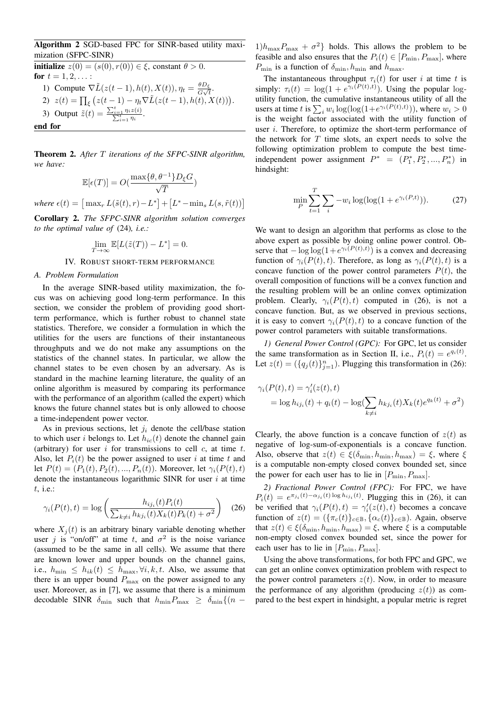Algorithm 2 SGD-based FPC for SINR-based utility maximization (SFPC-SINR)

initialize  $z(0) = (s(0), r(0)) \in \xi$ , constant  $\theta > 0$ . for  $t = 1, 2, ...$ : 1) Compute  $\nabla \tilde{L}(z(t-1), h(t), X(t)), \eta_t = \frac{\theta D_{\xi}}{G}$  $\frac{\sigma D_{\xi}}{G\sqrt{t}}$ . 2)  $z(t) = \prod_{\xi} (z(t-1) - \eta_t \nabla \tilde{L}(z(t-1), h(t), X(t))).$ 3) Output  $\tilde{z}(t) = \frac{\sum_{i=1}^{t} z_i}{\sum_{i=1}^{t} z_i}$  $\frac{\sum\limits_{i=1}^{n} \eta_i z(i)}{i}$ . end for

Theorem 2. *After* T *iterations of the SFPC-SINR algorithm, we have:*

$$
\mathbb{E}[\epsilon(T)] = O(\frac{\max\{\theta, \theta^{-1}\} D_{\xi} G}{\sqrt{T}})
$$
  
where  $\epsilon(t) = [\max_{r} L(\tilde{s}(t), r) - L^*] + [L^* - \min_{s} L(s, \tilde{r}(t))]$ 

Corollary 2. *The SFPC-SINR algorithm solution converges to the optimal value of* (24)*, i.e.:*

$$
\lim_{T \to \infty} \mathbb{E}[L(\tilde{z}(T)) - L^*] = 0.
$$

## IV. ROBUST SHORT-TERM PERFORMANCE

## *A. Problem Formulation*

In the average SINR-based utility maximization, the focus was on achieving good long-term performance. In this section, we consider the problem of providing good shortterm performance, which is further robust to channel state statistics. Therefore, we consider a formulation in which the utilities for the users are functions of their instantaneous throughputs and we do not make any assumptions on the statistics of the channel states. In particular, we allow the channel states to be even chosen by an adversary. As is standard in the machine learning literature, the quality of an online algorithm is measured by comparing its performance with the performance of an algorithm (called the expert) which knows the future channel states but is only allowed to choose a time-independent power vector.

As in previous sections, let  $j_i$  denote the cell/base station to which user i belongs to. Let  $h_{ic}(t)$  denote the channel gain (arbitrary) for user i for transmissions to cell  $c$ , at time  $t$ . Also, let  $P_i(t)$  be the power assigned to user i at time t and let  $P(t) = (P_1(t), P_2(t), ..., P_n(t))$ . Moreover, let  $\gamma_i(P(t), t)$ denote the instantaneous logarithmic SINR for user  $i$  at time t, i.e.:

$$
\gamma_i(P(t), t) = \log \left( \frac{h_{ij_i}(t) P_i(t)}{\sum_{k \neq i} h_{kj_i}(t) X_k(t) P_k(t) + \sigma^2} \right) \tag{26}
$$

where  $X_i(t)$  is an arbitrary binary variable denoting whether user j is "on/off" at time t, and  $\sigma^2$  is the noise variance (assumed to be the same in all cells). We assume that there are known lower and upper bounds on the channel gains, i.e.,  $h_{\min} \leq h_{ik}(t) \leq h_{\max}, \forall i, k, t$ . Also, we assume that there is an upper bound  $P_{\text{max}}$  on the power assigned to any user. Moreover, as in [7], we assume that there is a minimum decodable SINR  $\delta_{\min}$  such that  $h_{\min}P_{\max} \geq \delta_{\min}\{(n -$   $1)h_{\text{max}}P_{\text{max}} + \sigma^2$  holds. This allows the problem to be feasible and also ensures that the  $P_i(t) \in [P_{\min}, P_{\max}]$ , where  $P_{\min}$  is a function of  $\delta_{\min}$ ,  $h_{\min}$  and  $h_{\max}$ .

The instantaneous throughput  $\tau_i(t)$  for user i at time t is simply:  $\tau_i(t) = \log(1 + e^{\gamma_i(P(t),t)})$ . Using the popular logutility function, the cumulative instantaneous utility of all the users at time t is  $\sum_i w_i \log(\log(1+e^{\gamma_i(P(t),t)}))$ , where  $w_i > 0$ is the weight factor associated with the utility function of user *i*. Therefore, to optimize the short-term performance of the network for  $T$  time slots, an expert needs to solve the following optimization problem to compute the best timeindependent power assignment  $P^* = (P_1^*, P_2^*, ..., P_n^*)$  in hindsight:

$$
\min_{P} \sum_{t=1}^{T} \sum_{i} -w_i \log(\log(1 + e^{\gamma_i(P,t)})).
$$
 (27)

We want to design an algorithm that performs as close to the above expert as possible by doing online power control. Observe that  $-\log \log(1+e^{\gamma_i(P(t),t)})$  is a convex and decreasing function of  $\gamma_i(P(t), t)$ . Therefore, as long as  $\gamma_i(P(t), t)$  is a concave function of the power control parameters  $P(t)$ , the overall composition of functions will be a convex function and the resulting problem will be an online convex optimization problem. Clearly,  $\gamma_i(P(t), t)$  computed in (26), is not a concave function. But, as we observed in previous sections, it is easy to convert  $\gamma_i(P(t), t)$  to a concave function of the power control parameters with suitable transformations.

*1) General Power Control (GPC):* For GPC, let us consider the same transformation as in Section II, i.e.,  $P_i(t) = e^{q_i(t)}$ . Let  $z(t) = (\{q_j(t)\}_{j=1}^n)$ . Plugging this transformation in (26):

$$
\gamma_i(P(t),t) = \gamma_i'(z(t),t)
$$
  
= log  $h_{ij_i}(t) + q_i(t) - log(\sum_{k \neq i} h_{kj_i}(t)X_k(t)e^{q_k(t)} + \sigma^2)$ 

Clearly, the above function is a concave function of  $z(t)$  as negative of log-sum-of-exponentials is a concave function. Also, observe that  $z(t) \in \xi(\delta_{\min}, h_{\min}, h_{\max}) = \xi$ , where  $\xi$ is a computable non-empty closed convex bounded set, since the power for each user has to lie in  $[P_{\min}, P_{\max}]$ .

*2) Fractional Power Control (FPC):* For FPC, we have  $P_i(t) = e^{\pi_{j_i}(t) - \alpha_{j_i}(t) \log h_{ij_i}(t)}$ . Plugging this in (26), it can be verified that  $\gamma_i(P(t), t) = \gamma_i'(z(t), t)$  becomes a concave function of  $z(t) = (\{\pi_c(t)\}_{c \in \mathbb{B}}, \{\alpha_c(t)\}_{c \in \mathbb{B}})$ . Again, observe that  $z(t) \in \xi(\delta_{\min}, h_{\min}, h_{\max}) = \xi$ , where  $\xi$  is a computable non-empty closed convex bounded set, since the power for each user has to lie in  $[P_{\min}, P_{\max}]$ .

Using the above transformations, for both FPC and GPC, we can get an online convex optimization problem with respect to the power control parameters  $z(t)$ . Now, in order to measure the performance of any algorithm (producing  $z(t)$ ) as compared to the best expert in hindsight, a popular metric is regret